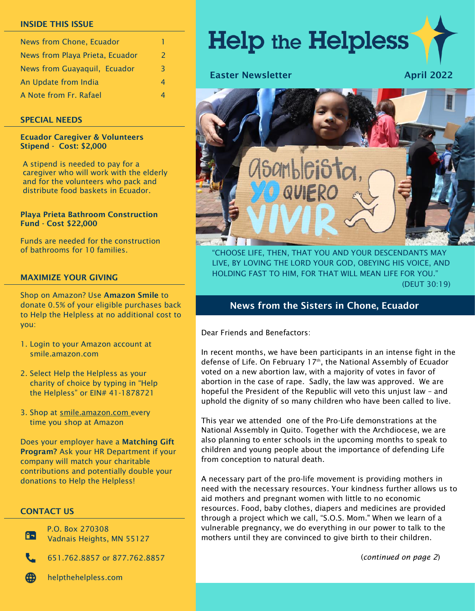#### INSIDE THIS ISSUE

| News from Chone, Ecuador        |   |
|---------------------------------|---|
| News from Playa Prieta, Ecuador | 2 |
| News from Guayaquil, Ecuador    | 3 |
| An Update from India            | 4 |
| A Note from Fr. Rafael          |   |

#### SPECIAL NEEDS

#### Ecuador Caregiver & Volunteers Stipend - Cost: \$2,000

A stipend is needed to pay for a caregiver who will work with the elderly and for the volunteers who pack and distribute food baskets in Ecuador.

#### Playa Prieta Bathroom Construction Fund - Cost \$22,000

Funds are needed for the construction of bathrooms for 10 families.

#### MAXIMIZE YOUR GIVING

Shop on Amazon? Use Amazon Smile to donate 0.5% of your eligible purchases back to Help the Helpless at no additional cost to you:

- 1. Login to your Amazon account at smile.amazon.com
- 2. Select Help the Helpless as your charity of choice by typing in "Help the Helpless" or EIN# 41-1878721
- 3. Shop at smile.amazon.com\_every time you shop at Amazon

Does your employer have a Matching Gift Program? Ask your HR Department if your company will match your charitable contributions and potentially double your donations to Help the Helpless!

### CONTACT US

Œ

P.O. Box 270308 Vadnais Heights, MN 55127

651.762.8857 or 877.762.8857



helpthehelpless.com

# **Help the Helpless**

### Easter Newsletter April 2022



"CHOOSE LIFE, THEN, THAT YOU AND YOUR DESCENDANTS MAY LIVE, BY LOVING THE LORD YOUR GOD, OBEYING HIS VOICE, AND HOLDING FAST TO HIM, FOR THAT WILL MEAN LIFE FOR YOU." (DEUT 30:19)

## News from the Sisters in Chone, Ecuador

Dear Friends and Benefactors:

In recent months, we have been participants in an intense fight in the defense of Life. On February 17<sup>th</sup>, the National Assembly of Ecuador voted on a new abortion law, with a majority of votes in favor of abortion in the case of rape. Sadly, the law was approved. We are hopeful the President of the Republic will veto this unjust law – and uphold the dignity of so many children who have been called to live.

This year we attended one of the Pro-Life demonstrations at the National Assembly in Quito. Together with the Archdiocese, we are also planning to enter schools in the upcoming months to speak to children and young people about the importance of defending Life from conception to natural death.

A necessary part of the pro-life movement is providing mothers in need with the necessary resources. Your kindness further allows us to aid mothers and pregnant women with little to no economic resources. Food, baby clothes, diapers and medicines are provided through a project which we call, "S.O.S. Mom." When we learn of a vulnerable pregnancy, we do everything in our power to talk to the mothers until they are convinced to give birth to their children.

(*continued on page 2*)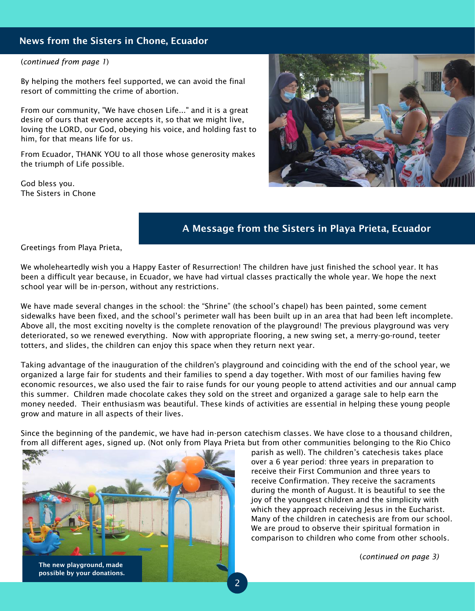## News from the Sisters in Chone, Ecuador

#### (*continued from page 1*)

By helping the mothers feel supported, we can avoid the final resort of committing the crime of abortion.

From our community, "We have chosen Life..." and it is a great desire of ours that everyone accepts it, so that we might live, loving the LORD, our God, obeying his voice, and holding fast to him, for that means life for us.

From Ecuador, THANK YOU to all those whose generosity makes the triumph of Life possible.

God bless you. The Sisters in Chone



# A Message from the Sisters in Playa Prieta, Ecuador

Greetings from Playa Prieta,

We wholeheartedly wish you a Happy Easter of Resurrection! The children have just finished the school year. It has been a difficult year because, in Ecuador, we have had virtual classes practically the whole year. We hope the next school year will be in-person, without any restrictions.

We have made several changes in the school: the "Shrine" (the school's chapel) has been painted, some cement sidewalks have been fixed, and the school's perimeter wall has been built up in an area that had been left incomplete. Above all, the most exciting novelty is the complete renovation of the playground! The previous playground was very deteriorated, so we renewed everything. Now with appropriate flooring, a new swing set, a merry-go-round, teeter totters, and slides, the children can enjoy this space when they return next year.

Taking advantage of the inauguration of the children's playground and coinciding with the end of the school year, we organized a large fair for students and their families to spend a day together. With most of our families having few economic resources, we also used the fair to raise funds for our young people to attend activities and our annual camp this summer. Children made chocolate cakes they sold on the street and organized a garage sale to help earn the money needed. Their enthusiasm was beautiful. These kinds of activities are essential in helping these young people grow and mature in all aspects of their lives.

Since the beginning of the pandemic, we have had in-person catechism classes. We have close to a thousand children, from all different ages, signed up. (Not only from Playa Prieta but from other communities belonging to the Rio Chico



parish as well). The children's catechesis takes place over a 6 year period: three years in preparation to receive their First Communion and three years to receive Confirmation. They receive the sacraments during the month of August. It is beautiful to see the joy of the youngest children and the simplicity with which they approach receiving Jesus in the Eucharist. Many of the children in catechesis are from our school. We are proud to observe their spiritual formation in comparison to children who come from other schools.

(*continued on page 3)*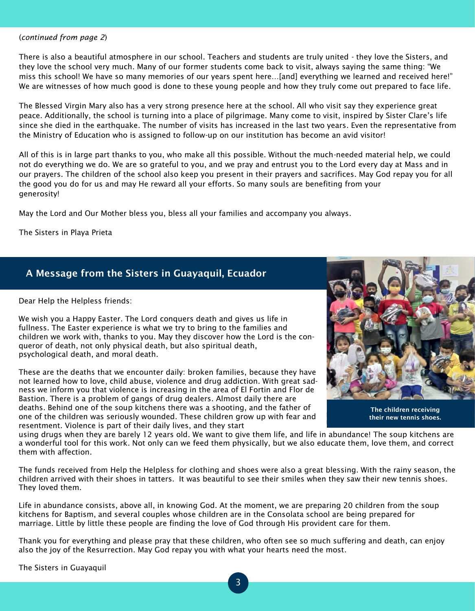#### (*continued from page 2*)

There is also a beautiful atmosphere in our school. Teachers and students are truly united - they love the Sisters, and they love the school very much. Many of our former students come back to visit, always saying the same thing: "We miss this school! We have so many memories of our years spent here…[and] everything we learned and received here!" We are witnesses of how much good is done to these young people and how they truly come out prepared to face life.

The Blessed Virgin Mary also has a very strong presence here at the school. All who visit say they experience great peace. Additionally, the school is turning into a place of pilgrimage. Many come to visit, inspired by Sister Clare's life since she died in the earthquake. The number of visits has increased in the last two years. Even the representative from the Ministry of Education who is assigned to follow-up on our institution has become an avid visitor!

All of this is in large part thanks to you, who make all this possible. Without the much-needed material help, we could not do everything we do. We are so grateful to you, and we pray and entrust you to the Lord every day at Mass and in our prayers. The children of the school also keep you present in their prayers and sacrifices. May God repay you for all the good you do for us and may He reward all your efforts. So many souls are benefiting from your generosity!

May the Lord and Our Mother bless you, bless all your families and accompany you always.

The Sisters in Playa Prieta

# A Message from the Sisters in Guayaquil, Ecuador

Dear Help the Helpless friends:

We wish you a Happy Easter. The Lord conquers death and gives us life in fullness. The Easter experience is what we try to bring to the families and children we work with, thanks to you. May they discover how the Lord is the conqueror of death, not only physical death, but also spiritual death, psychological death, and moral death.

These are the deaths that we encounter daily: broken families, because they have not learned how to love, child abuse, violence and drug addiction. With great sadness we inform you that violence is increasing in the area of El Fortin and Flor de Bastion. There is a problem of gangs of drug dealers. Almost daily there are deaths. Behind one of the soup kitchens there was a shooting, and the father of one of the children was seriously wounded. These children grow up with fear and resentment. Violence is part of their daily lives, and they start



The children receiving their new tennis shoes.

using drugs when they are barely 12 years old. We want to give them life, and life in abundance! The soup kitchens are a wonderful tool for this work. Not only can we feed them physically, but we also educate them, love them, and correct them with affection.

The funds received from Help the Helpless for clothing and shoes were also a great blessing. With the rainy season, the children arrived with their shoes in tatters. It was beautiful to see their smiles when they saw their new tennis shoes. They loved them.

Life in abundance consists, above all, in knowing God. At the moment, we are preparing 20 children from the soup kitchens for Baptism, and several couples whose children are in the Consolata school are being prepared for marriage. Little by little these people are finding the love of God through His provident care for them.

Thank you for everything and please pray that these children, who often see so much suffering and death, can enjoy also the joy of the Resurrection. May God repay you with what your hearts need the most.

The Sisters in Guayaquil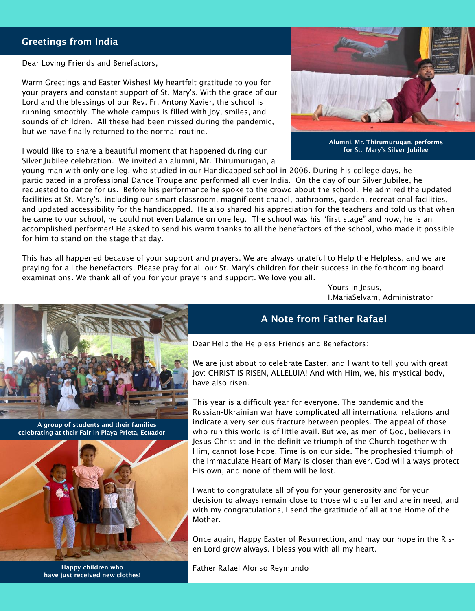## Greetings from India

Dear Loving Friends and Benefactors,

Warm Greetings and Easter Wishes! My heartfelt gratitude to you for your prayers and constant support of St. Mary's. With the grace of our Lord and the blessings of our Rev. Fr. Antony Xavier, the school is running smoothly. The whole campus is filled with joy, smiles, and sounds of children. All these had been missed during the pandemic, but we have finally returned to the normal routine.

I would like to share a beautiful moment that happened during our Silver Jubilee celebration. We invited an alumni, Mr. Thirumurugan, a



Alumni, Mr. Thirumurugan, performs for St. Mary's Silver Jubilee

young man with only one leg, who studied in our Handicapped school in 2006. During his college days, he participated in a professional Dance Troupe and performed all over India. On the day of our Silver Jubilee, he requested to dance for us. Before his performance he spoke to the crowd about the school. He admired the updated facilities at St. Mary's, including our smart classroom, magnificent chapel, bathrooms, garden, recreational facilities, and updated accessibility for the handicapped. He also shared his appreciation for the teachers and told us that when he came to our school, he could not even balance on one leg. The school was his "first stage" and now, he is an accomplished performer! He asked to send his warm thanks to all the benefactors of the school, who made it possible for him to stand on the stage that day.

This has all happened because of your support and prayers. We are always grateful to Help the Helpless, and we are praying for all the benefactors. Please pray for all our St. Mary's children for their success in the forthcoming board examinations. We thank all of you for your prayers and support. We love you all.

> Yours in Jesus, I.MariaSelvam, Administrator



 A group of students and their families celebrating at their Fair in Playa Prieta, Ecuador



have just received new clothes!

## A Note from Father Rafael

Dear Help the Helpless Friends and Benefactors:

We are just about to celebrate Easter, and I want to tell you with great joy: CHRIST IS RISEN, ALLELUIA! And with Him, we, his mystical body, have also risen.

This year is a difficult year for everyone. The pandemic and the Russian-Ukrainian war have complicated all international relations and indicate a very serious fracture between peoples. The appeal of those who run this world is of little avail. But we, as men of God, believers in Jesus Christ and in the definitive triumph of the Church together with Him, cannot lose hope. Time is on our side. The prophesied triumph of the Immaculate Heart of Mary is closer than ever. God will always protect His own, and none of them will be lost.

I want to congratulate all of you for your generosity and for your decision to always remain close to those who suffer and are in need, and with my congratulations, I send the gratitude of all at the Home of the Mother.

Once again, Happy Easter of Resurrection, and may our hope in the Risen Lord grow always. I bless you with all my heart.

Happy children who Father Rafael Alonso Reymundo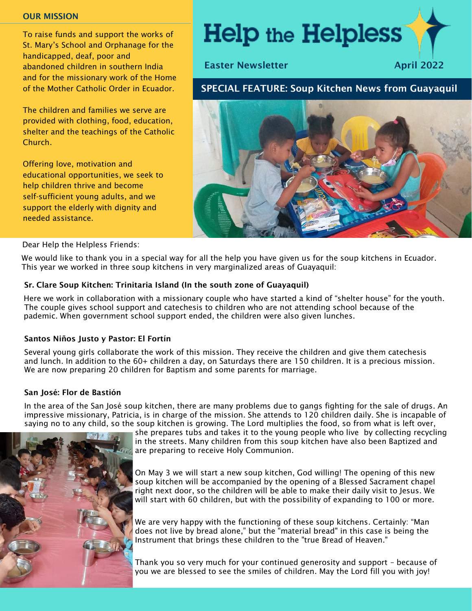#### OUR MISSION

To raise funds and support the works of St. Mary's School and Orphanage for the handicapped, deaf, poor and abandoned children in southern India and for the missionary work of the Home of the Mother Catholic Order in Ecuador.

The children and families we serve are provided with clothing, food, education, shelter and the teachings of the Catholic Church.

Offering love, motivation and educational opportunities, we seek to help children thrive and become self-sufficient young adults, and we support the elderly with dignity and needed assistance.

# **Help the Helpless**

Easter Newsletter April 2022

## SPECIAL FEATURE: Soup Kitchen News from Guayaquil



#### Dear Help the Helpless Friends:

 We would like to thank you in a special way for all the help you have given us for the soup kitchens in Ecuador. This year we worked in three soup kitchens in very marginalized areas of Guayaquil:

#### Sr. Clare Soup Kitchen: Trinitaria Island (In the south zone of Guayaquil)

Here we work in collaboration with a missionary couple who have started a kind of "shelter house" for the youth. The couple gives school support and catechesis to children who are not attending school because of the pademic. When government school support ended, the children were also given lunches.

#### Santos Niños Justo y Pastor: El Fortín

Several young girls collaborate the work of this mission. They receive the children and give them catechesis and lunch. In addition to the 60+ children a day, on Saturdays there are 150 children. It is a precious mission. We are now preparing 20 children for Baptism and some parents for marriage.

#### San José: Flor de Bastión

In the area of the San José soup kitchen, there are many problems due to gangs fighting for the sale of drugs. An impressive missionary, Patricia, is in charge of the mission. She attends to 120 children daily. She is incapable of saying no to any child, so the soup kitchen is growing. The Lord multiplies the food, so from what is left over,



she prepares tubs and takes it to the young people who live by collecting recycling in the streets. Many children from this soup kitchen have also been Baptized and **a** are preparing to receive Holy Communion.

On May 3 we will start a new soup kitchen, God willing! The opening of this new soup kitchen will be accompanied by the opening of a Blessed Sacrament chapel right next door, so the children will be able to make their daily visit to Jesus. We will start with 60 children, but with the possibility of expanding to 100 or more.

We are very happy with the functioning of these soup kitchens. Certainly: "Man does not live by bread alone," but the "material bread" in this case is being the Instrument that brings these children to the "true Bread of Heaven."

Thank you so very much for your continued generosity and support – because of you we are blessed to see the smiles of children. May the Lord fill you with joy!